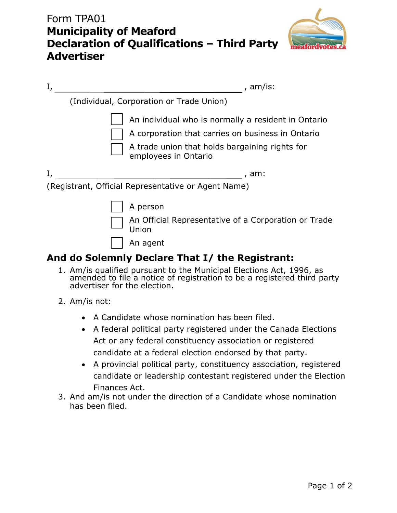## Form TPA01 **Municipality of Meaford Declaration of Qualifications – Third Party Advertiser**



| I, | , am/is:                                                                                                                                                                           |
|----|------------------------------------------------------------------------------------------------------------------------------------------------------------------------------------|
|    | (Individual, Corporation or Trade Union)                                                                                                                                           |
|    | An individual who is normally a resident in Ontario<br>A corporation that carries on business in Ontario<br>A trade union that holds bargaining rights for<br>employees in Ontario |
|    | , am:                                                                                                                                                                              |
|    | (Registrant, Official Representative or Agent Name)                                                                                                                                |
|    | A person<br>An Official Representative of a Corporation or Trade<br>Union<br>An agent                                                                                              |

## **And do Solemnly Declare That I/ the Registrant:**

- 1. Am/is qualified pursuant to the Municipal Elections Act, 1996, as amended to file a notice of registration to be a registered third party advertiser for the election.
- 2. Am/is not:
	- A Candidate whose nomination has been filed.
	- A federal political party registered under the Canada Elections Act or any federal constituency association or registered candidate at a federal election endorsed by that party.
	- A provincial political party, constituency association, registered candidate or leadership contestant registered under the Election Finances Act.
- 3. And am/is not under the direction of a Candidate whose nomination has been filed.